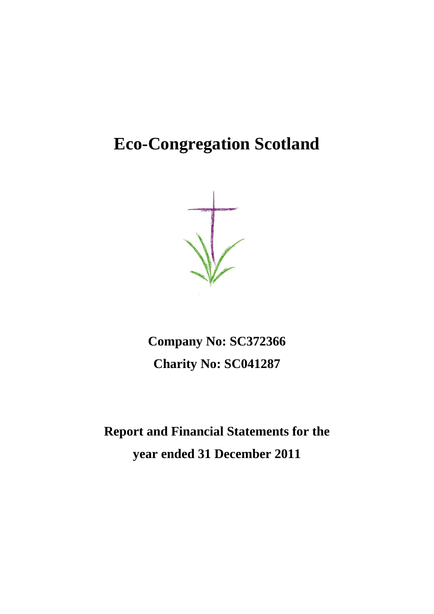# **Eco-Congregation Scotland**

**Company No: SC372366 Charity No: SC041287**

**Report and Financial Statements for the year ended 31 December 2011**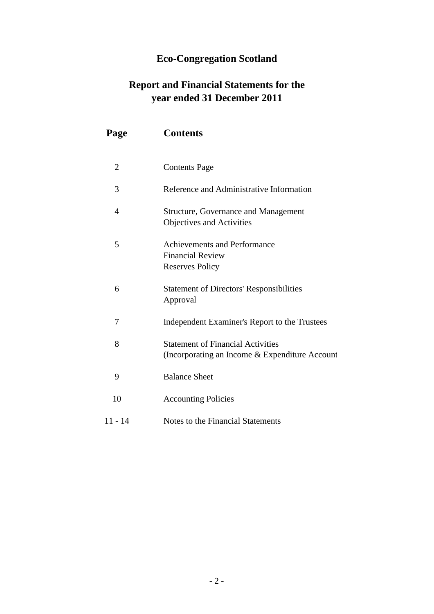## **Eco-Congregation Scotland**

## **Report and Financial Statements for the year ended 31 December 2011**

| Page           | <b>Contents</b>                                                                            |
|----------------|--------------------------------------------------------------------------------------------|
| 2              | <b>Contents Page</b>                                                                       |
| 3              | Reference and Administrative Information                                                   |
| $\overline{4}$ | <b>Structure, Governance and Management</b><br>Objectives and Activities                   |
| 5              | <b>Achievements and Performance</b><br><b>Financial Review</b><br><b>Reserves Policy</b>   |
| 6              | <b>Statement of Directors' Responsibilities</b><br>Approval                                |
| 7              | Independent Examiner's Report to the Trustees                                              |
| 8              | <b>Statement of Financial Activities</b><br>(Incorporating an Income & Expenditure Account |
| 9              | <b>Balance Sheet</b>                                                                       |
| 10             | <b>Accounting Policies</b>                                                                 |
| $11 - 14$      | Notes to the Financial Statements                                                          |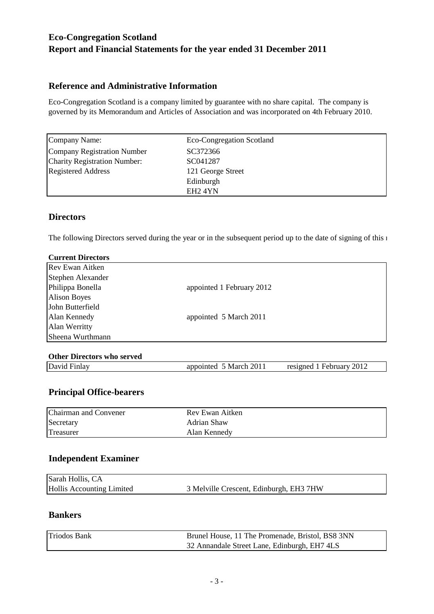## **Reference and Administrative Information**

Eco-Congregation Scotland is a company limited by guarantee with no share capital. The company is governed by its Memorandum and Articles of Association and was incorporated on 4th February 2010.

| Company Name:                       | Eco-Congregation Scotland |
|-------------------------------------|---------------------------|
| Company Registration Number         | SC372366                  |
| <b>Charity Registration Number:</b> | SC041287                  |
| <b>Registered Address</b>           | 121 George Street         |
|                                     | Edinburgh                 |
|                                     | EH <sub>2</sub> 4YN       |

## **Directors**

The following Directors served during the year or in the subsequent period up to the date of signing of this 1

| <b>Current Directors</b> |                           |  |
|--------------------------|---------------------------|--|
| <b>Rev Ewan Aitken</b>   |                           |  |
| Stephen Alexander        |                           |  |
| Philippa Bonella         | appointed 1 February 2012 |  |
| <b>Alison Boyes</b>      |                           |  |
| John Butterfield         |                           |  |
| Alan Kennedy             | appointed 5 March 2011    |  |
| Alan Werritty            |                           |  |
| Sheena Wurthmann         |                           |  |
|                          |                           |  |

## **Other Directors who served**

David Finlay **appointed 5 March 2011** resigned 1 February 2012

## **Principal Office-bearers**

| Chairman and Convener | Rev Ewan Aitken |
|-----------------------|-----------------|
| Secretary             | Adrian Shaw     |
| Treasurer             | Alan Kennedy    |

## **Independent Examiner**

| Sarah Hollis, CA          |                                         |
|---------------------------|-----------------------------------------|
| Hollis Accounting Limited | 3 Melville Crescent, Edinburgh, EH3 7HW |

## **Bankers**

| <b>Triodos Bank</b> | Brunel House, 11 The Promenade, Bristol, BS8 3NN |
|---------------------|--------------------------------------------------|
|                     | 32 Annandale Street Lane, Edinburgh, EH7 4LS     |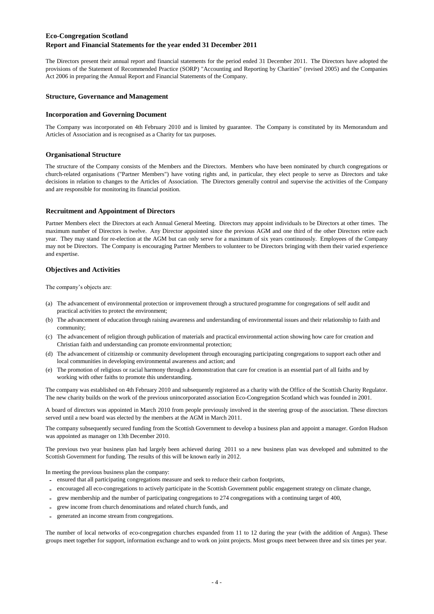The Directors present their annual report and financial statements for the period ended 31 December 2011. The Directors have adopted the provisions of the Statement of Recommended Practice (SORP) "Accounting and Reporting by Charities" (revised 2005) and the Companies Act 2006 in preparing the Annual Report and Financial Statements of the Company.

#### **Structure, Governance and Management**

#### **Incorporation and Governing Document**

The Company was incorporated on 4th February 2010 and is limited by guarantee. The Company is constituted by its Memorandum and Articles of Association and is recognised as a Charity for tax purposes.

#### **Organisational Structure**

The structure of the Company consists of the Members and the Directors. Members who have been nominated by church congregations or church-related organisations ("Partner Members") have voting rights and, in particular, they elect people to serve as Directors and take decisions in relation to changes to the Articles of Association. The Directors generally control and supervise the activities of the Company and are responsible for monitoring its financial position.

#### **Recruitment and Appointment of Directors**

Partner Members elect the Directors at each Annual General Meeting. Directors may appoint individuals to be Directors at other times. The maximum number of Directors is twelve. Any Director appointed since the previous AGM and one third of the other Directors retire each year. They may stand for re-election at the AGM but can only serve for a maximum of six years continuously. Employees of the Company may not be Directors. The Company is encouraging Partner Members to volunteer to be Directors bringing with them their varied experience and expertise.

#### **Objectives and Activities**

The company's objects are:

- (a) The advancement of environmental protection or improvement through a structured programme for congregations of self audit and practical activities to protect the environment;
- (b) The advancement of education through raising awareness and understanding of environmental issues and their relationship to faith and community;
- (c) The advancement of religion through publication of materials and practical environmental action showing how care for creation and Christian faith and understanding can promote environmental protection;
- (d) The advancement of citizenship or community development through encouraging participating congregations to support each other and local communities in developing environmental awareness and action; and
- (e) The promotion of religious or racial harmony through a demonstration that care for creation is an essential part of all faiths and by working with other faiths to promote this understanding.

The company was established on 4th February 2010 and subsequently registered as a charity with the Office of the Scottish Charity Regulator. The new charity builds on the work of the previous unincorporated association Eco-Congregation Scotland which was founded in 2001.

A board of directors was appointed in March 2010 from people previously involved in the steering group of the association. These directors served until a new board was elected by the members at the AGM in March 2011.

The company subsequently secured funding from the Scottish Government to develop a business plan and appoint a manager. Gordon Hudson was appointed as manager on 13th December 2010.

The previous two year business plan had largely been achieved during 2011 so a new business plan was developed and submitted to the Scottish Government for funding. The results of this will be known early in 2012.

In meeting the previous business plan the company:

- **-** ensured that all participating congregations measure and seek to reduce their carbon footprints,
- **-** encouraged all eco-congregations to actively participate in the Scottish Government public engagement strategy on climate change,
- **-** grew membership and the number of participating congregations to 274 congregations with a continuing target of 400,
- grew income from church denominations and related church funds, and
- **-** generated an income stream from congregations.

The number of local networks of eco-congregation churches expanded from 11 to 12 during the year (with the addition of Angus). These groups meet together for support, information exchange and to work on joint projects. Most groups meet between three and six times per year.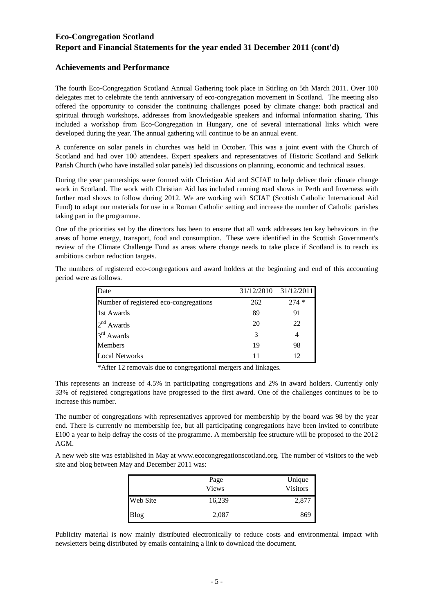#### **Achievements and Performance**

The fourth Eco-Congregation Scotland Annual Gathering took place in Stirling on 5th March 2011. Over 100 delegates met to celebrate the tenth anniversary of eco-congregation movement in Scotland. The meeting also offered the opportunity to consider the continuing challenges posed by climate change: both practical and spiritual through workshops, addresses from knowledgeable speakers and informal information sharing. This included a workshop from Eco-Congregation in Hungary, one of several international links which were developed during the year. The annual gathering will continue to be an annual event.

A conference on solar panels in churches was held in October. This was a joint event with the Church of Scotland and had over 100 attendees. Expert speakers and representatives of Historic Scotland and Selkirk Parish Church (who have installed solar panels) led discussions on planning, economic and technical issues.

During the year partnerships were formed with Christian Aid and SCIAF to help deliver their climate change work in Scotland. The work with Christian Aid has included running road shows in Perth and Inverness with further road shows to follow during 2012. We are working with SCIAF (Scottish Catholic International Aid Fund) to adapt our materials for use in a Roman Catholic setting and increase the number of Catholic parishes taking part in the programme.

One of the priorities set by the directors has been to ensure that all work addresses ten key behaviours in the areas of home energy, transport, food and consumption. These were identified in the Scottish Government's review of the Climate Challenge Fund as areas where change needs to take place if Scotland is to reach its ambitious carbon reduction targets.

The numbers of registered eco-congregations and award holders at the beginning and end of this accounting period were as follows.

| Date                                   | 31/12/2010 | 31/12/2011 |
|----------------------------------------|------------|------------|
| Number of registered eco-congregations | 262        | $274*$     |
| 1st Awards                             | 89         | 91         |
| $2nd$ Awards                           | 20         | 22         |
| 3 <sup>rd</sup> Awards                 | 3          |            |
| <b>Members</b>                         | 19         | 98         |
| <b>Local Networks</b>                  | 11         | 12         |

\*After 12 removals due to congregational mergers and linkages.

This represents an increase of 4.5% in participating congregations and 2% in award holders. Currently only 33% of registered congregations have progressed to the first award. One of the challenges continues to be to increase this number.

The number of congregations with representatives approved for membership by the board was 98 by the year end. There is currently no membership fee, but all participating congregations have been invited to contribute £100 a year to help defray the costs of the programme. A membership fee structure will be proposed to the 2012 AGM.

A new web site was established in May at www.ecocongregationscotland.org. The number of visitors to the web site and blog between May and December 2011 was:

|             | Page<br><b>Views</b> | Unique<br>Visitors |
|-------------|----------------------|--------------------|
| Web Site    | 16,239               | 2,877              |
| <b>Blog</b> | 2,087                | 869                |

Publicity material is now mainly distributed electronically to reduce costs and environmental impact with newsletters being distributed by emails containing a link to download the document.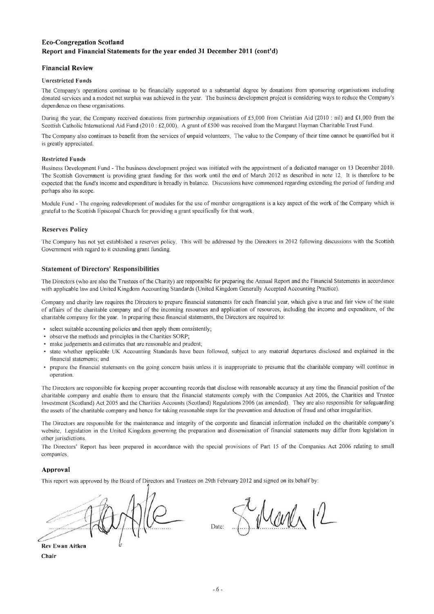#### **Financial Review**

#### **Unrestricted Funds**

The Company's operations continue to be financially supported to a substantial degree by donations from sponsoring organisations including donated services and a modest net surplus was achieved in the year. The business development project is considering ways to reduce the Company's dependence on these organisations.

During the year, the Company received donations from partnership organisations of £5,000 from Christian Aid (2010 : nil) and £1,000 from the Scottish Catholic International Aid Fund (2010: £2,000). A grant of £500 was received from the Margaret Hayman Charitable Trust Fund.

The Company also continues to benefit from the services of unpaid volunteers. The value to the Company of their time cannot be quantified but it is greatly appreciated.

#### **Restricted Funds**

Business Development Fund - The business development project was initiated with the appointment of a dedicated manager on 13 December 2010. The Scottish Government is providing grant funding for this work until the end of March 2012 as described in note 12. It is therefore to be expected that the fund's income and expenditure is broadly in balance. Discussions have commenced regarding extending the period of funding and perhaps also its scope.

Module Fund - The ongoing redevelopment of modules for the use of member congregations is a key aspect of the work of the Company which is grateful to the Scottish Episcopal Church for providing a grant specifically for that work.

#### **Reserves Policy**

The Company has not yet established a reserves policy. This will be addressed by the Directors in 2012 following discussions with the Scottish Government with regard to it extending grant funding,

#### **Statement of Directors' Responsibilities**

The Directors (who are also the Trustees of the Charity) are responsible for preparing the Annual Report and the Financial Statements in accordance with applicable law and United Kingdom Accounting Standards (United Kingdom Generally Accepted Accounting Practice).

Company and charity law requires the Directors to prepare financial statements for each financial year, which give a true and fair view of the state of affairs of the charitable company and of the incoming resources and application of resources, including the income and expenditure, of the charitable company for the year. In preparing these financial statements, the Directors are required to:

- select suitable accounting policies and then apply them consistently;
- observe the methods and principles in the Charities SORP;
- make judgements and estimates that are reasonable and prudent;
- state whether applicable UK Accounting Standards have been followed, subject to any material departures disclosed and explained in the financial statements; and
- prepare the financial statements on the going concern basis unless it is inappropriate to presume that the charitable company will continue in operation.

The Directors are responsible for keeping proper accounting records that disclose with reasonable accuracy at any time the financial position of the charitable company and enable them to ensure that the financial statements comply with the Companies Act 2006, the Charities and Trustee Investment (Scotland) Act 2005 and the Charities Accounts (Scotland) Regulations 2006 (as amended). They are also responsible for safeguarding the assets of the charitable company and hence for taking reasonable steps for the prevention and detection of fraud and other irregularities.

The Directors are responsible for the maintenance and integrity of the corporate and financial information included on the charitable company's website. Legislation in the United Kingdom governing the preparation and dissemination of financial statements may differ from legislation in other jurisdictions.

The Directors' Report has been prepared in accordance with the special provisions of Part 15 of the Companies Act 2006 relating to small companies.

#### Approval

This report was approved by the Board of Directors and Trustees on 29th February 2012 and signed on its behalf by:



Chair

Manh IL

Date: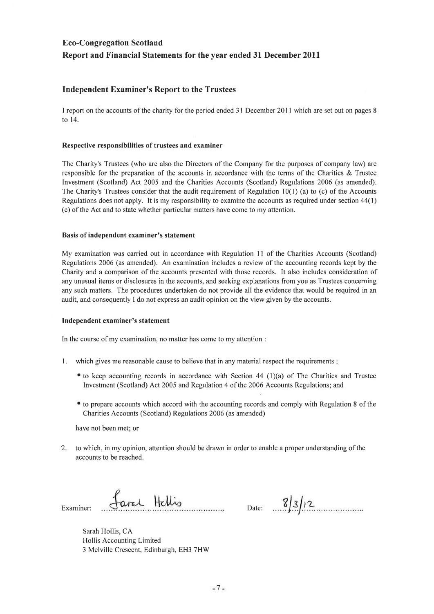## **Independent Examiner's Report to the Trustees**

I report on the accounts of the charity for the period ended 31 December 2011 which are set out on pages 8 to 14.

#### Respective responsibilities of trustees and examiner

The Charity's Trustees (who are also the Directors of the Company for the purposes of company law) are responsible for the preparation of the accounts in accordance with the terms of the Charities & Trustee Investment (Scotland) Act 2005 and the Charities Accounts (Scotland) Regulations 2006 (as amended). The Charity's Trustees consider that the audit requirement of Regulation  $10(1)$  (a) to (c) of the Accounts Regulations does not apply. It is my responsibility to examine the accounts as required under section  $44(1)$ (c) of the Act and to state whether particular matters have come to my attention.

#### Basis of independent examiner's statement

My examination was carried out in accordance with Regulation 11 of the Charities Accounts (Scotland) Regulations 2006 (as amended). An examination includes a review of the accounting records kept by the Charity and a comparison of the accounts presented with those records. It also includes consideration of any unusual items or disclosures in the accounts, and seeking explanations from you as Trustees concerning any such matters. The procedures undertaken do not provide all the evidence that would be required in an audit, and consequently I do not express an audit opinion on the view given by the accounts.

#### Independent examiner's statement

In the course of my examination, no matter has come to my attention :

- 1. which gives me reasonable cause to believe that in any material respect the requirements :
	- to keep accounting records in accordance with Section 44 (1)(a) of The Charities and Trustee Investment (Scotland) Act 2005 and Regulation 4 of the 2006 Accounts Regulations; and
	- to prepare accounts which accord with the accounting records and comply with Regulation 8 of the Charities Accounts (Scotland) Regulations 2006 (as amended)

have not been met; or

 $2.$ to which, in my opinion, attention should be drawn in order to enable a proper understanding of the accounts to be reached.

Examiner:

fance Hellis

Date:  $\sqrt{3}/3/2$ 

Sarah Hollis, CA Hollis Accounting Limited 3 Melville Crescent, Edinburgh, EH3 7HW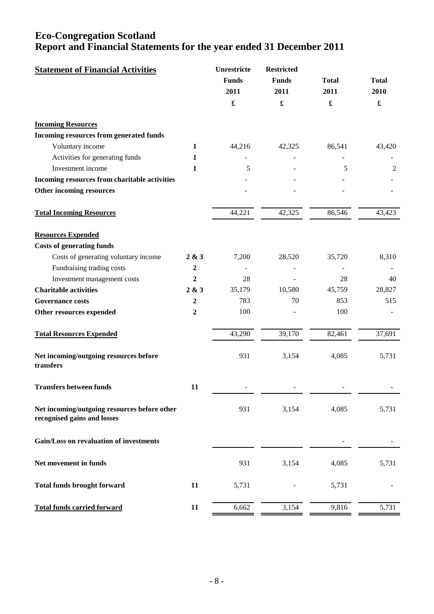| <b>Statement of Financial Activities</b>                                    |                  | Unrestricte<br><b>Funds</b><br>2011 | <b>Restricted</b><br><b>Funds</b><br>2011 | <b>Total</b><br>2011 | <b>Total</b><br>2010 |
|-----------------------------------------------------------------------------|------------------|-------------------------------------|-------------------------------------------|----------------------|----------------------|
|                                                                             |                  | $\pmb{\mathfrak{L}}$                | £                                         | £                    | $\pmb{\mathfrak{L}}$ |
| <b>Incoming Resources</b>                                                   |                  |                                     |                                           |                      |                      |
| Incoming resources from generated funds                                     |                  |                                     |                                           |                      |                      |
| Voluntary income                                                            | 1                | 44,216                              | 42,325                                    | 86,541               | 43,420               |
| Activities for generating funds                                             | 1                |                                     |                                           |                      |                      |
| Investment income                                                           | 1                | 5                                   |                                           | 5                    | $\overline{2}$       |
| Incoming resources from charitable activities                               |                  |                                     |                                           |                      |                      |
| Other incoming resources                                                    |                  |                                     |                                           |                      |                      |
| <b>Total Incoming Resources</b>                                             |                  | 44,221                              | 42,325                                    | 86,546               | 43,423               |
| <b>Resources Expended</b>                                                   |                  |                                     |                                           |                      |                      |
| <b>Costs of generating funds</b>                                            |                  |                                     |                                           |                      |                      |
| Costs of generating voluntary income                                        | 2 & 3            | 7,200                               | 28,520                                    | 35,720               | 8,310                |
| Fundraising trading costs                                                   | $\boldsymbol{2}$ |                                     |                                           |                      |                      |
| Investment management costs                                                 | $\mathbf{2}$     | 28                                  |                                           | 28                   | 40                   |
| <b>Charitable activities</b>                                                | 2 & 3            | 35,179                              | 10,580                                    | 45,759               | 28,827               |
| <b>Governance costs</b>                                                     | $\boldsymbol{2}$ | 783                                 | 70                                        | 853                  | 515                  |
| Other resources expended                                                    | $\boldsymbol{2}$ | 100                                 |                                           | 100                  |                      |
| <b>Total Resources Expended</b>                                             |                  | 43,290                              | 39,170                                    | 82,461               | 37,691               |
| Net incoming/outgoing resources before<br>transfers                         |                  | 931                                 | 3,154                                     | 4,085                | 5,731                |
| <b>Transfers between funds</b>                                              | 11               |                                     |                                           |                      |                      |
| Net incoming/outgoing resources before other<br>recognised gains and losses |                  | 931                                 | 3,154                                     | 4,085                | 5,731                |
| Gain/Loss on revaluation of investments                                     |                  |                                     |                                           |                      |                      |
| Net movement in funds                                                       |                  | 931                                 | 3,154                                     | 4,085                | 5,731                |
| <b>Total funds brought forward</b>                                          | 11               | 5,731                               |                                           | 5,731                |                      |
| <b>Total funds carried forward</b>                                          | 11               | 6,662                               | 3,154                                     | 9,816                | 5,731                |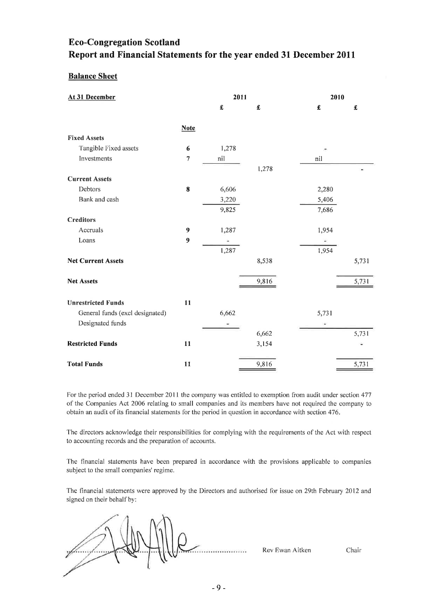## **Balance Sheet**

| At 31 December                  |                  |       | 2011  |       | 2010                |  |
|---------------------------------|------------------|-------|-------|-------|---------------------|--|
|                                 |                  | £     | £     | £     | $\pmb{\pmb{\cdot}}$ |  |
|                                 |                  |       |       |       |                     |  |
|                                 | <b>Note</b>      |       |       |       |                     |  |
| <b>Fixed Assets</b>             |                  |       |       |       |                     |  |
| Tangible Fixed assets           | 6                | 1,278 |       |       |                     |  |
| Investments                     | $\overline{7}$   | nil   |       | nil   |                     |  |
|                                 |                  |       | 1,278 |       |                     |  |
| <b>Current Assets</b>           |                  |       |       |       |                     |  |
| <b>Debtors</b>                  | $\bf{8}$         | 6,606 |       | 2,280 |                     |  |
| Bank and cash                   |                  | 3,220 |       | 5,406 |                     |  |
|                                 |                  | 9,825 |       | 7,686 |                     |  |
| <b>Creditors</b>                |                  |       |       |       |                     |  |
| Accruals                        | 9                | 1,287 |       | 1,954 |                     |  |
| Loans                           | $\boldsymbol{9}$ |       |       |       |                     |  |
|                                 |                  | 1,287 |       | 1,954 |                     |  |
| <b>Net Current Assets</b>       |                  |       | 8,538 |       | 5,731               |  |
| <b>Net Assets</b>               |                  |       | 9,816 |       | 5,731               |  |
|                                 |                  |       |       |       |                     |  |
| <b>Unrestricted Funds</b>       | 11               |       |       |       |                     |  |
| General funds (excl designated) |                  | 6,662 |       | 5,731 |                     |  |
| Designated funds                |                  |       |       | ۰     |                     |  |
|                                 |                  |       | 6,662 |       | 5,731               |  |
| <b>Restricted Funds</b>         | 11               |       | 3,154 |       |                     |  |
|                                 |                  |       |       |       |                     |  |
| <b>Total Funds</b>              | 11               |       | 9,816 |       | 5,731               |  |

For the period ended 31 December 2011 the company was entitled to exemption from audit under section 477 of the Companies Act 2006 relating to small companies and its members have not required the company to obtain an audit of its financial statements for the period in question in accordance with section 476.

The directors acknowledge their responsibilities for complying with the requirements of the Act with respect to accounting records and the preparation of accounts.

The financial statements have been prepared in accordance with the provisions applicable to companies subject to the small companies' regime.

The financial statements were approved by the Directors and authorised for issue on 29th February 2012 and signed on their behalf by:

. . . . . . . . . . . . . . . . . .

Rev Ewan Aitken

Chair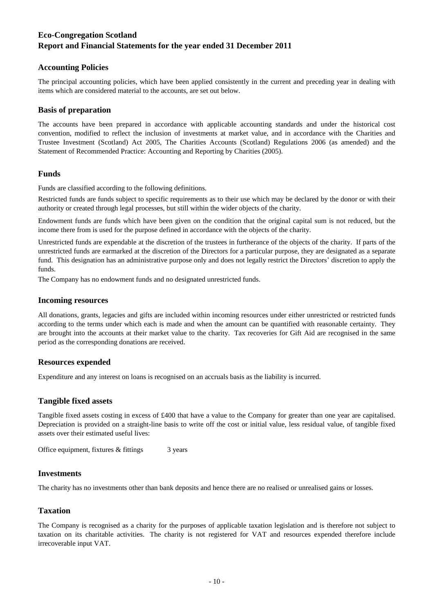### **Accounting Policies**

The principal accounting policies, which have been applied consistently in the current and preceding year in dealing with items which are considered material to the accounts, are set out below.

#### **Basis of preparation**

The accounts have been prepared in accordance with applicable accounting standards and under the historical cost convention, modified to reflect the inclusion of investments at market value, and in accordance with the Charities and Trustee Investment (Scotland) Act 2005, The Charities Accounts (Scotland) Regulations 2006 (as amended) and the Statement of Recommended Practice: Accounting and Reporting by Charities (2005).

### **Funds**

Funds are classified according to the following definitions.

Restricted funds are funds subject to specific requirements as to their use which may be declared by the donor or with their authority or created through legal processes, but still within the wider objects of the charity.

Endowment funds are funds which have been given on the condition that the original capital sum is not reduced, but the income there from is used for the purpose defined in accordance with the objects of the charity.

Unrestricted funds are expendable at the discretion of the trustees in furtherance of the objects of the charity. If parts of the unrestricted funds are earmarked at the discretion of the Directors for a particular purpose, they are designated as a separate fund. This designation has an administrative purpose only and does not legally restrict the Directors' discretion to apply the funds.

The Company has no endowment funds and no designated unrestricted funds.

#### **Incoming resources**

All donations, grants, legacies and gifts are included within incoming resources under either unrestricted or restricted funds according to the terms under which each is made and when the amount can be quantified with reasonable certainty. They are brought into the accounts at their market value to the charity. Tax recoveries for Gift Aid are recognised in the same period as the corresponding donations are received.

#### **Resources expended**

Expenditure and any interest on loans is recognised on an accruals basis as the liability is incurred.

#### **Tangible fixed assets**

Tangible fixed assets costing in excess of £400 that have a value to the Company for greater than one year are capitalised. Depreciation is provided on a straight-line basis to write off the cost or initial value, less residual value, of tangible fixed assets over their estimated useful lives:

3 years Office equipment, fixtures & fittings

#### **Investments**

The charity has no investments other than bank deposits and hence there are no realised or unrealised gains or losses.

#### **Taxation**

The Company is recognised as a charity for the purposes of applicable taxation legislation and is therefore not subject to taxation on its charitable activities. The charity is not registered for VAT and resources expended therefore include irrecoverable input VAT.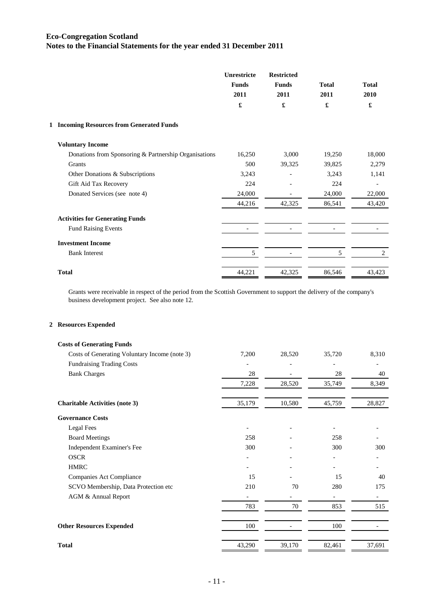|                                                       | Unrestricte<br><b>Funds</b><br>2011<br>£ | <b>Restricted</b><br><b>Funds</b><br>2011<br>£ | <b>Total</b><br>2011<br>£ | <b>Total</b><br>2010<br>£ |
|-------------------------------------------------------|------------------------------------------|------------------------------------------------|---------------------------|---------------------------|
| 1 Incoming Resources from Generated Funds             |                                          |                                                |                           |                           |
| <b>Voluntary Income</b>                               |                                          |                                                |                           |                           |
| Donations from Sponsoring & Partnership Organisations | 16,250                                   | 3,000                                          | 19,250                    | 18,000                    |
| Grants                                                | 500                                      | 39,325                                         | 39,825                    | 2,279                     |
| Other Donations & Subscriptions                       | 3,243                                    |                                                | 3,243                     | 1,141                     |
| Gift Aid Tax Recovery                                 | 224                                      |                                                | 224                       |                           |
| Donated Services (see note 4)                         | 24,000                                   |                                                | 24,000                    | 22,000                    |
|                                                       | 44,216                                   | 42,325                                         | 86,541                    | 43,420                    |
| <b>Activities for Generating Funds</b>                |                                          |                                                |                           |                           |
| <b>Fund Raising Events</b>                            |                                          |                                                |                           |                           |
| <b>Investment Income</b>                              |                                          |                                                |                           |                           |
| <b>Bank Interest</b>                                  | 5                                        |                                                | 5                         | 2                         |
| <b>Total</b>                                          | 44,221                                   | 42,325                                         | 86,546                    | 43,423                    |

Grants were receivable in respect of the period from the Scottish Government to support the delivery of the company's business development project. See also note 12.

#### **2 Resources Expended**

| <b>Costs of Generating Funds</b>              |        |        |        |        |
|-----------------------------------------------|--------|--------|--------|--------|
| Costs of Generating Voluntary Income (note 3) | 7,200  | 28,520 | 35,720 | 8,310  |
| <b>Fundraising Trading Costs</b>              |        |        |        |        |
| <b>Bank Charges</b>                           | 28     |        | 28     | 40     |
|                                               | 7,228  | 28,520 | 35,749 | 8,349  |
| <b>Charitable Activities (note 3)</b>         | 35,179 | 10,580 | 45,759 | 28,827 |
| <b>Governance Costs</b>                       |        |        |        |        |
| Legal Fees                                    |        |        |        |        |
| <b>Board Meetings</b>                         | 258    |        | 258    |        |
| Independent Examiner's Fee                    | 300    |        | 300    | 300    |
| <b>OSCR</b>                                   |        |        |        |        |
| <b>HMRC</b>                                   |        |        |        |        |
| Companies Act Compliance                      | 15     |        | 15     | 40     |
| SCVO Membership, Data Protection etc          | 210    | 70     | 280    | 175    |
| AGM & Annual Report                           |        |        |        |        |
|                                               | 783    | 70     | 853    | 515    |
| <b>Other Resources Expended</b>               | 100    |        | 100    |        |
| <b>Total</b>                                  | 43,290 | 39,170 | 82,461 | 37,691 |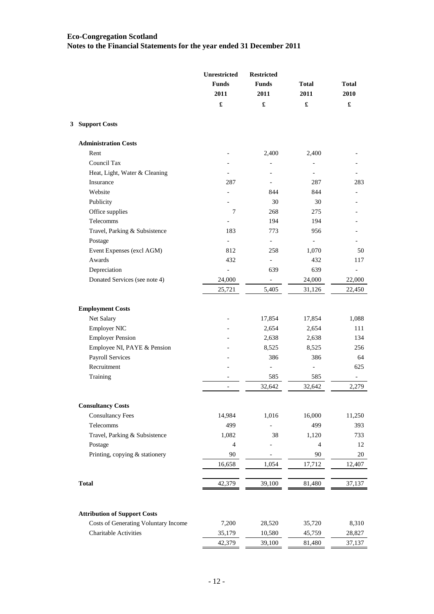|                                                               | Unrestricted             | <b>Restricted</b>        |                |                      |
|---------------------------------------------------------------|--------------------------|--------------------------|----------------|----------------------|
|                                                               | <b>Funds</b>             | <b>Funds</b>             | <b>Total</b>   | <b>Total</b>         |
|                                                               | 2011                     | 2011                     | 2011           | 2010                 |
|                                                               | $\pmb{\mathfrak{L}}$     | £                        | £              | $\pmb{\mathfrak{L}}$ |
| 3 Support Costs                                               |                          |                          |                |                      |
| <b>Administration Costs</b>                                   |                          |                          |                |                      |
| Rent                                                          |                          | 2,400                    | 2,400          |                      |
| Council Tax                                                   |                          |                          |                |                      |
| Heat, Light, Water & Cleaning                                 |                          |                          | $\frac{1}{2}$  |                      |
| Insurance                                                     | 287                      |                          | 287            | 283                  |
| Website                                                       |                          | 844                      | 844            |                      |
| Publicity                                                     |                          | 30                       | 30             |                      |
| Office supplies                                               | $\boldsymbol{7}$         | 268                      | 275            |                      |
| Telecomms                                                     |                          | 194                      | 194            |                      |
| Travel, Parking & Subsistence                                 | 183                      | 773                      | 956            |                      |
| Postage                                                       |                          | $\frac{1}{2}$            |                |                      |
| Event Expenses (excl AGM)                                     | 812                      | 258                      | 1,070          | 50                   |
| Awards                                                        | 432                      | $\overline{\phantom{a}}$ | 432            | 117                  |
| Depreciation                                                  | $\frac{1}{2}$            | 639                      | 639            |                      |
| Donated Services (see note 4)                                 | 24,000                   |                          | 24,000         | 22,000               |
|                                                               | 25,721                   | 5,405                    | 31,126         | 22,450               |
| <b>Employment Costs</b>                                       |                          |                          |                |                      |
| Net Salary                                                    |                          | 17,854                   | 17,854         | 1,088                |
| <b>Employer NIC</b>                                           |                          | 2,654                    | 2,654          | 111                  |
| <b>Employer Pension</b>                                       |                          | 2,638                    | 2,638          | 134                  |
| Employee NI, PAYE & Pension                                   |                          | 8,525                    | 8,525          | 256                  |
| Payroll Services                                              |                          | 386                      | 386            | 64                   |
| Recruitment                                                   |                          | -                        | $\blacksquare$ | 625                  |
| Training                                                      |                          | 585                      | 585            |                      |
|                                                               | $\overline{\phantom{a}}$ | 32,642                   | 32,642         | 2,279                |
| <b>Consultancy Costs</b>                                      |                          |                          |                |                      |
| <b>Consultancy Fees</b>                                       | 14,984                   | 1,016                    | 16,000         | 11,250               |
| Telecomms                                                     | 499                      |                          | 499            | 393                  |
| Travel, Parking & Subsistence                                 | 1,082                    | 38                       | 1,120          | 733                  |
| Postage                                                       | $\overline{4}$           |                          | $\overline{4}$ | 12                   |
| Printing, copying & stationery                                | 90                       | -                        | 90             | 20                   |
|                                                               | 16,658                   | 1,054                    | 17,712         | 12,407               |
| <b>Total</b>                                                  |                          |                          |                |                      |
|                                                               | 42,379                   | 39,100                   | 81,480         | 37,137               |
| <b>Attribution of Support Costs</b>                           |                          |                          |                |                      |
|                                                               |                          |                          |                |                      |
| Costs of Generating Voluntary Income<br>Charitable Activities | 7,200                    | 28,520                   | 35,720         | 8,310                |
|                                                               | 35,179                   | 10,580                   | 45,759         | 28,827               |
|                                                               | 42,379                   | 39,100                   | 81,480         | 37,137               |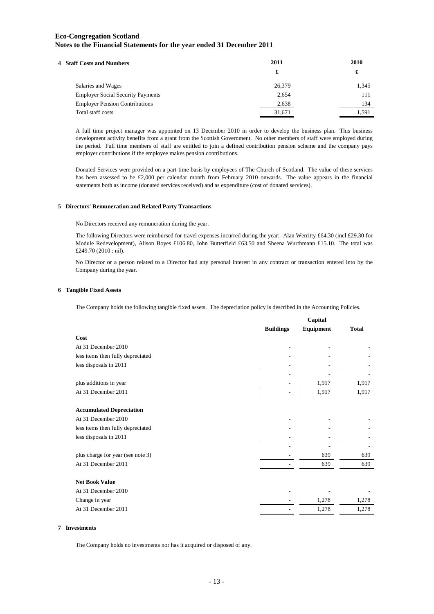| 4 Staff Costs and Numbers                | 2011   | 2010  |
|------------------------------------------|--------|-------|
|                                          | £      | £     |
| Salaries and Wages                       | 26,379 | 1,345 |
| <b>Employer Social Security Payments</b> | 2,654  | 111   |
| <b>Employer Pension Contributions</b>    | 2,638  | 134   |
| Total staff costs                        | 31,671 | 1.591 |

A full time project manager was appointed on 13 December 2010 in order to develop the business plan. This business development activity benefits from a grant from the Scottish Government. No other members of staff were employed during the period. Full time members of staff are entitled to join a defined contribution pension scheme and the company pays employer contributions if the employee makes pension contributions.

Donated Services were provided on a part-time basis by employees of The Church of Scotland. The value of these services has been assessed to be £2,000 per calendar month from February 2010 onwards. The value appears in the financial statements both as income (donated services received) and as expenditure (cost of donated services).

#### **5 Directors' Remuneration and Related Party Transactions**

No Directors received any remuneration during the year.

The following Directors were reimbursed for travel expenses incurred during the year:- Alan Werritty £64.30 (incl £29.30 for Module Redevelopment), Alison Boyes £106.80, John Butterfield £63.50 and Sheena Wurthmann £15.10. The total was £249.70 (2010 : nil).

No Director or a person related to a Director had any personal interest in any contract or transaction entered into by the Company during the year.

#### **6 Tangible Fixed Assets**

The Company holds the following tangible fixed assets. The depreciation policy is described in the Accounting Policies.

|                                   | Capital          |                  |              |
|-----------------------------------|------------------|------------------|--------------|
|                                   | <b>Buildings</b> | <b>Equipment</b> | <b>Total</b> |
| Cost                              |                  |                  |              |
| At 31 December 2010               |                  |                  |              |
| less items then fully depreciated |                  |                  |              |
| less disposals in 2011            |                  |                  |              |
|                                   |                  |                  |              |
| plus additions in year            |                  | 1,917            | 1,917        |
| At 31 December 2011               |                  | 1,917            | 1,917        |
| <b>Accumulated Depreciation</b>   |                  |                  |              |
| At 31 December 2010               |                  |                  |              |
| less items then fully depreciated |                  |                  |              |
| less disposals in 2011            |                  |                  |              |
|                                   |                  |                  |              |
| plus charge for year (see note 3) |                  | 639              | 639          |
| At 31 December 2011               |                  | 639              | 639          |
| <b>Net Book Value</b>             |                  |                  |              |
| At 31 December 2010               |                  |                  |              |
| Change in year                    |                  | 1,278            | 1,278        |
| At 31 December 2011               |                  | 1,278            | 1,278        |
|                                   |                  |                  |              |

#### **7 Investments**

The Company holds no investments nor has it acquired or disposed of any.